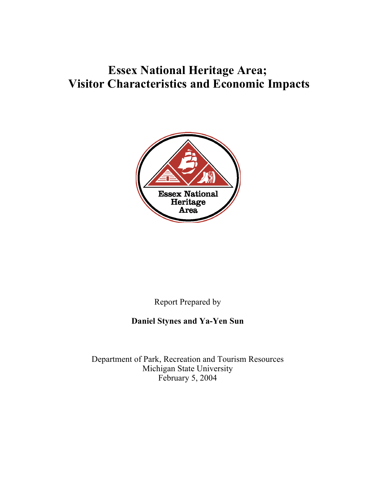# **Essex National Heritage Area; Visitor Characteristics and Economic Impacts**



Report Prepared by

# **Daniel Stynes and Ya-Yen Sun**

Department of Park, Recreation and Tourism Resources Michigan State University February 5, 2004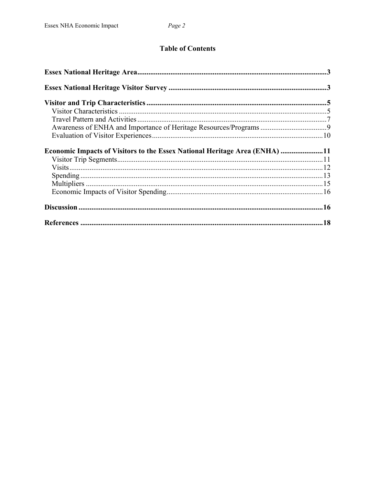# **Table of Contents**

| Economic Impacts of Visitors to the Essex National Heritage Area (ENHA) 11 |  |
|----------------------------------------------------------------------------|--|
|                                                                            |  |
|                                                                            |  |
|                                                                            |  |
|                                                                            |  |
|                                                                            |  |
|                                                                            |  |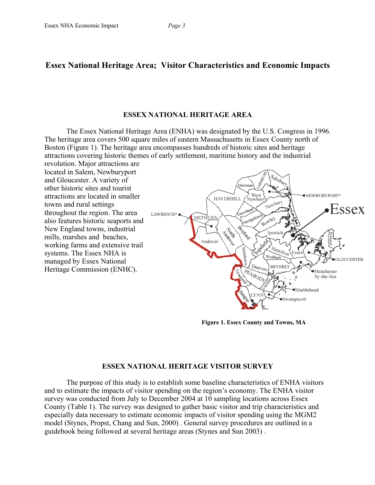#### **ESSEX NATIONAL HERITAGE AREA**

The Essex National Heritage Area (ENHA) was designated by the U.S. Congress in 1996. The heritage area covers 500 square miles of eastern Massachusetts in Essex County north of Boston (Figure 1). The heritage area encompasses hundreds of historic sites and heritage attractions covering historic themes of early settlement, maritime history and the industrial

revolution. Major attractions are located in Salem, Newburyport and Gloucester. A variety of other historic sites and tourist attractions are located in smaller towns and rural settings throughout the region. The area also features historic seaports and New England towns, industrial mills, marshes and beaches, working farms and extensive trail systems. The Essex NHA is managed by Essex National Heritage Commission (ENHC).



**Figure 1. Essex County and Towns, MA**

## **ESSEX NATIONAL HERITAGE VISITOR SURVEY**

The purpose of this study is to establish some baseline characteristics of ENHA visitors and to estimate the impacts of visitor spending on the region's economy. The ENHA visitor survey was conducted from July to December 2004 at 10 sampling locations across Essex County (Table 1). The survey was designed to gather basic visitor and trip characteristics and especially data necessary to estimate economic impacts of visitor spending using the MGM2 model (Stynes, Propst, Chang and Sun, 2000) . General survey procedures are outlined in a guidebook being followed at several heritage areas (Stynes and Sun 2003) .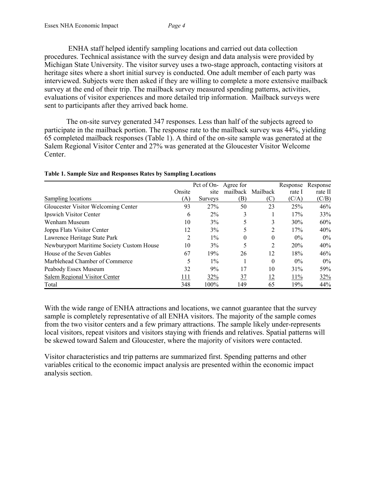ENHA staff helped identify sampling locations and carried out data collection procedures. Technical assistance with the survey design and data analysis were provided by Michigan State University. The visitor survey uses a two-stage approach, contacting visitors at heritage sites where a short initial survey is conducted. One adult member of each party was interviewed. Subjects were then asked if they are willing to complete a more extensive mailback survey at the end of their trip. The mailback survey measured spending patterns, activities, evaluations of visitor experiences and more detailed trip information. Mailback surveys were sent to participants after they arrived back home.

The on-site survey generated 347 responses. Less than half of the subjects agreed to participate in the mailback portion. The response rate to the mailback survey was 44%, yielding 65 completed mailback responses (Table 1). A third of the on-site sample was generated at the Salem Regional Visitor Center and 27% was generated at the Gloucester Visitor Welcome Center.

|                                           |        | Pct of On- Agree for |     |                   | Response | Response |
|-------------------------------------------|--------|----------------------|-----|-------------------|----------|----------|
|                                           | Onsite | site                 |     | mailback Mailback | rate I   | rate II  |
| Sampling locations                        | (A)    | Surveys              | (B) | (C)               | (C/A)    | (C/B)    |
| Gloucester Visitor Welcoming Center       | 93     | 27%                  | 50  | 23                | 25%      | 46%      |
| Ipswich Visitor Center                    | 6      | $2\%$                | 3   |                   | 17%      | 33%      |
| Wenham Museum                             | 10     | 3%                   | 5   | 3                 | 30%      | 60%      |
| Joppa Flats Visitor Center                | 12     | 3%                   |     | 2                 | 17%      | 40%      |
| Lawrence Heritage State Park              | 2      | $1\%$                | 0   | 0                 | $0\%$    | $0\%$    |
| Newburyport Maritime Society Custom House | 10     | 3%                   | 5   | 2                 | 20%      | 40%      |
| House of the Seven Gables                 | 67     | 19%                  | 26  | 12                | 18%      | 46%      |
| Marblehead Chamber of Commerce            | 5      | $1\%$                |     | 0                 | $0\%$    | $0\%$    |
| Peabody Essex Museum                      | 32     | 9%                   | 17  | 10                | 31%      | 59%      |
| Salem Regional Visitor Center             | 111    | 32%                  | 37  | 12                | 11%      | 32%      |
| Total                                     | 348    | 100%                 | 149 | 65                | 19%      | 44%      |

#### **Table 1. Sample Size and Responses Rates by Sampling Locations**

With the wide range of ENHA attractions and locations, we cannot guarantee that the survey sample is completely representative of all ENHA visitors. The majority of the sample comes from the two visitor centers and a few primary attractions. The sample likely under-represents local visitors, repeat visitors and visitors staying with friends and relatives. Spatial patterns will be skewed toward Salem and Gloucester, where the majority of visitors were contacted.

Visitor characteristics and trip patterns are summarized first. Spending patterns and other variables critical to the economic impact analysis are presented within the economic impact analysis section.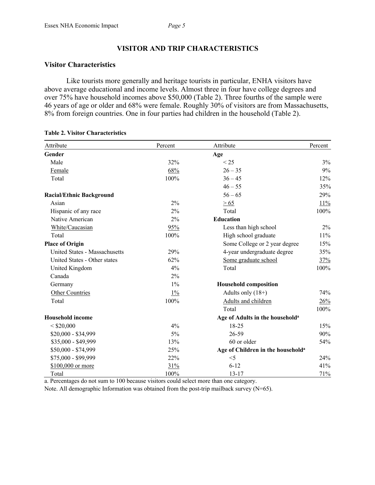## **VISITOR AND TRIP CHARACTERISTICS**

#### **Visitor Characteristics**

Like tourists more generally and heritage tourists in particular, ENHA visitors have above average educational and income levels. Almost three in four have college degrees and over 75% have household incomes above \$50,000 (Table 2). Three fourths of the sample were 46 years of age or older and 68% were female. Roughly 30% of visitors are from Massachusetts, 8% from foreign countries. One in four parties had children in the household (Table 2).

| Attribute                       | Percent | Attribute                                     | Percent |
|---------------------------------|---------|-----------------------------------------------|---------|
| Gender                          |         | Age                                           |         |
| Male                            | 32%     | < 25                                          | 3%      |
| Female                          | 68%     | $26 - 35$                                     | 9%      |
| Total                           | 100%    | $36 - 45$                                     | 12%     |
|                                 |         | $46 - 55$                                     | 35%     |
| <b>Racial/Ethnic Background</b> |         | $56 - 65$                                     | 29%     |
| Asian                           | $2\%$   | $\geq 65$                                     | 11%     |
| Hispanic of any race            | 2%      | Total                                         | 100%    |
| Native American                 | 2%      | <b>Education</b>                              |         |
| White/Caucasian                 | 95%     | Less than high school                         | $2\%$   |
| Total                           | 100%    | High school graduate                          | 11%     |
| <b>Place of Origin</b>          |         | Some College or 2 year degree                 | 15%     |
| United States - Massachusetts   | 29%     | 4-year undergraduate degree                   | 35%     |
| United States - Other states    | 62%     | Some graduate school                          | 37%     |
| United Kingdom                  | 4%      | Total                                         | 100%    |
| Canada                          | 2%      |                                               |         |
| Germany                         | $1\%$   | <b>Household composition</b>                  |         |
| Other Countries                 | $1\%$   | Adults only $(18+)$                           | 74%     |
| Total                           | $100\%$ | Adults and children                           | 26%     |
|                                 |         | Total                                         | 100%    |
| <b>Household income</b>         |         | Age of Adults in the household <sup>a</sup>   |         |
| < \$20,000                      | 4%      | $18 - 25$                                     | 15%     |
| \$20,000 - \$34,999             | 5%      | 26-59                                         | 90%     |
| \$35,000 - \$49,999             | 13%     | 60 or older                                   | 54%     |
| \$50,000 - \$74,999             | 25%     | Age of Children in the household <sup>a</sup> |         |
| \$75,000 - \$99,999             | 22%     | $<$ 5                                         | 24%     |
| \$100,000 or more               | 31%     | $6 - 12$                                      | 41%     |
| Total                           | 100%    | $13 - 17$                                     | 71%     |

#### **Table 2. Visitor Characteristics**

a. Percentages do not sum to 100 because visitors could select more than one category.

Note. All demographic Information was obtained from the post-trip mailback survey  $(N=65)$ .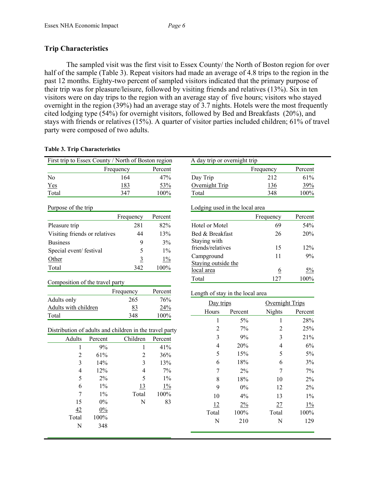## **Trip Characteristics**

The sampled visit was the first visit to Essex County/ the North of Boston region for over half of the sample (Table 3). Repeat visitors had made an average of 4.8 trips to the region in the past 12 months. Eighty-two percent of sampled visitors indicated that the primary purpose of their trip was for pleasure/leisure, followed by visiting friends and relatives (13%). Six in ten visitors were on day trips to the region with an average stay of five hours; visitors who stayed overnight in the region (39%) had an average stay of 3.7 nights. Hotels were the most frequently cited lodging type (54%) for overnight visitors, followed by Bed and Breakfasts (20%), and stays with friends or relatives (15%). A quarter of visitor parties included children; 61% of travel party were composed of two adults.

#### **Table 3. Trip Characteristics**

| First trip to Essex County / North of Boston region     |           |                |             | A day trip or overnight trip      |         |                 |         |
|---------------------------------------------------------|-----------|----------------|-------------|-----------------------------------|---------|-----------------|---------|
|                                                         | Frequency |                | Percent     |                                   |         | Frequency       | Percent |
| No                                                      |           | 164            | 47%         | Day Trip                          |         | 212             | 61%     |
| Yes                                                     |           | 183            | 53%         | Overnight Trip                    |         | 136             | 39%     |
| Total                                                   |           | 347            | 100%        | Total                             |         | 348             | 100%    |
| Purpose of the trip                                     |           |                |             | Lodging used in the local area    |         |                 |         |
|                                                         |           | Frequency      | Percent     |                                   |         | Frequency       | Percent |
| Pleasure trip                                           |           | 281            | 82%         | Hotel or Motel                    |         | 69              | 54%     |
| Visiting friends or relatives                           |           | 44             | 13%         | Bed & Breakfast                   |         | 26              | 20%     |
| <b>Business</b><br>Special event/ festival              |           | 9<br>5         | 3%<br>$1\%$ | Staying with<br>friends/relatives |         | 15              | 12%     |
|                                                         |           |                |             | Campground                        |         | 11              | 9%      |
| Other                                                   |           | $\overline{3}$ | $1\%$       | Staying outside the               |         |                 |         |
| Total                                                   |           | 342            | 100%        | local area                        |         | 6               | $5\%$   |
| Composition of the travel party                         |           |                |             | Total                             |         | 127             | 100%    |
|                                                         |           | Frequency      | Percent     | Length of stay in the local area  |         |                 |         |
| Adults only                                             |           | 265            | 76%         |                                   |         |                 |         |
| Adults with children                                    |           | 83             | 24%         | Day trips                         |         | Overnight Trips |         |
| Total                                                   |           | 348            | 100%        | Hours                             | Percent | <b>Nights</b>   | Percent |
|                                                         |           |                |             | $\mathbf{1}$                      | 5%      | $\mathbf{1}$    | 28%     |
| Distribution of adults and children in the travel party |           |                |             | $\overline{c}$                    | 7%      | $\overline{2}$  | 25%     |
| <b>Adults</b>                                           | Percent   | Children       | Percent     | 3                                 | 9%      | 3               | 21%     |
| $\mathbf{1}$                                            | 9%        | $\mathbf{1}$   | 41%         | $\overline{4}$                    | 20%     | $\overline{4}$  | 6%      |
| $\overline{c}$                                          | 61%       | $\overline{2}$ | 36%         | 5                                 | 15%     | 5               | 5%      |
| 3                                                       | 14%       | 3              | 13%         | 6                                 | 18%     | 6               | 3%      |
| 4                                                       | 12%       | $\overline{4}$ | 7%          | 7                                 | 2%      | 7               | 7%      |
| 5                                                       | 2%        | 5              | $1\%$       | 8                                 | 18%     | 10              | 2%      |
| 6                                                       | $1\%$     | 13             | $1\%$       | 9                                 | $0\%$   | 12              | $2\%$   |
| 7                                                       | $1\%$     | Total          | 100%        | 10                                | 4%      | 13              | $1\%$   |
| 15                                                      | 0%        | $\mathbf N$    | 83          | 12                                | 2%      | 27              | 1%      |
| 42                                                      | $0\%$     |                |             | Total                             | 100%    | Total           | 100%    |
| Total                                                   | 100%      |                |             | $\mathbf N$                       | 210     | $\mathbf N$     | 129     |
| N                                                       | 348       |                |             |                                   |         |                 |         |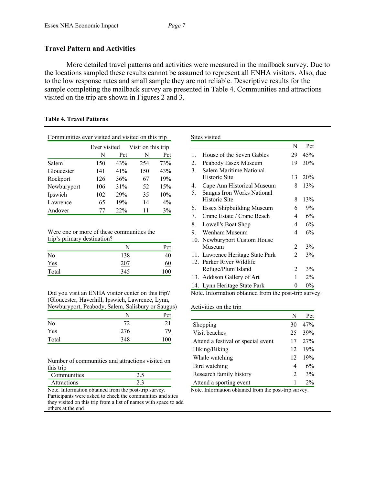#### **Travel Pattern and Activities**

More detailed travel patterns and activities were measured in the mailback survey. Due to the locations sampled these results cannot be assumed to represent all ENHA visitors. Also, due to the low response rates and small sample they are not reliable. Descriptive results for the sample completing the mailback survey are presented in Table 4. Communities and attractions visited on the trip are shown in Figures 2 and 3.

| Communities ever visited and visited on this trip |              |     |                    |       |  |
|---------------------------------------------------|--------------|-----|--------------------|-------|--|
|                                                   | Ever visited |     | Visit on this trip |       |  |
|                                                   | N            | Pct | N                  | Pct   |  |
| Salem                                             | 150          | 43% | 254                | 73%   |  |
| Gloucester                                        | 141          | 41% | 150                | 43%   |  |
| Rockport                                          | 126          | 36% | 67                 | 19%   |  |
| Newburyport                                       | 106          | 31% | 52                 | 15%   |  |
| Ipswich                                           | 102          | 29% | 35                 | 10%   |  |
| Lawrence                                          | 65           | 19% | 14                 | $4\%$ |  |
| Andover                                           | 77           | 22% | 11                 | 3%    |  |

#### **Table 4. Travel Patterns**

| Were one or more of these communities the |  |
|-------------------------------------------|--|
| trip's primary destination?               |  |

|       | N   | Pct       |
|-------|-----|-----------|
| No    | 138 | 40        |
| Yes   | 207 | <u>60</u> |
| Total | 345 | 100       |

Did you visit an ENHA visitor center on this trip? (Gloucester, Haverhill, Ipswich, Lawrence, Lynn, Newburyport, Peabody, Salem, Salisbury or Saugus)

|            | N   | Pct       |
|------------|-----|-----------|
| No         | 72  | 21        |
| <b>Yes</b> | 276 | <u>79</u> |
| Total      | 348 | 100       |

Number of communities and attractions visited on this trip

| Communities |  |
|-------------|--|
| 10ns        |  |

Note. Information obtained from the post-trip survey. Participants were asked to check the communities and sites they visited on this trip from a list of names with space to add others at the end

#### Sites visited

|          |                                                          | N              | Pct   |
|----------|----------------------------------------------------------|----------------|-------|
| 1.       | House of the Seven Gables                                | 29             | 45%   |
| 2.       | Peabody Essex Museum                                     | 19             | 30%   |
| 3.       | Salem Maritime National                                  |                |       |
|          | Historic Site                                            | 13             | 20%   |
| 4.<br>5. | Cape Ann Historical Museum<br>Saugus Iron Works National | 8              | 13%   |
|          | Historic Site                                            | 8              | 13%   |
| 6.       | Essex Shipbuilding Museum                                | 6              | 9%    |
| 7.       | Crane Estate / Crane Beach                               | 4              | 6%    |
| 8.       | Lowell's Boat Shop                                       | 4              | 6%    |
| 9.       | Wenham Museum                                            | 4              | 6%    |
|          | 10. Newburyport Custom House                             |                |       |
|          | Museum                                                   | 2              | 3%    |
|          | 11. Lawrence Heritage State Park                         | $\mathfrak{D}$ | 3%    |
|          | 12. Parker River Wildlife                                |                |       |
|          | Refuge/Plum Island                                       | 2              | 3%    |
|          | 13. Addison Gallery of Art                               | 1              | $2\%$ |
|          | 14. Lynn Heritage State Park                             | 0              | $0\%$ |

Note. Information obtained from the post-trip survey.

#### Activities on the trip

|                                    | N                           | Pct   |
|------------------------------------|-----------------------------|-------|
| Shopping                           | 30                          | 47%   |
| Visit beaches                      | 25                          | 39%   |
| Attend a festival or special event | 17                          | 27%   |
| Hiking/Biking                      | 12                          | 19%   |
| Whale watching                     | 12                          | 19%   |
| Bird watching                      | 4                           | 6%    |
| Research family history            | $\mathcal{D}_{\mathcal{L}}$ | 3%    |
| Attend a sporting event            | 1                           | $2\%$ |

Note. Information obtained from the post-trip survey.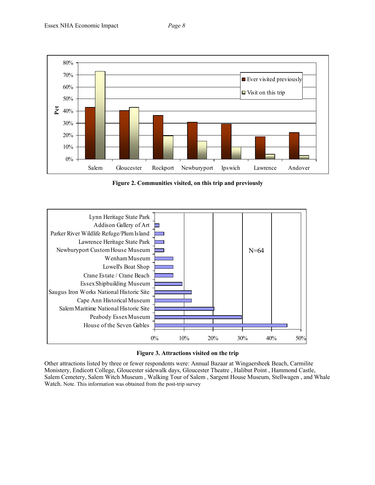



**Figure 2. Communities visited, on this trip and previously**





Other attractions listed by three or fewer respondents were: Annual Bazaar at Wingaersheek Beach, Carmilite Monistery, Endicott College, Gloucester sidewalk days, Gloucester Theatre , Halibut Point , Hammond Castle, Salem Cemetery, Salem Witch Museum , Walking Tour of Salem , Sargent House Museum, Stellwagen , and Whale Watch. Note. This information was obtained from the post-trip survey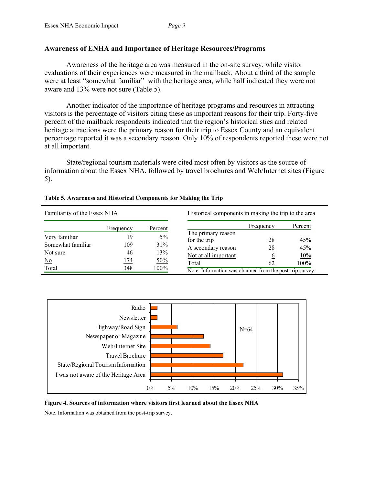## **Awareness of ENHA and Importance of Heritage Resources/Programs**

Awareness of the heritage area was measured in the on-site survey, while visitor evaluations of their experiences were measured in the mailback. About a third of the sample were at least "somewhat familiar" with the heritage area, while half indicated they were not aware and 13% were not sure (Table 5).

Another indicator of the importance of heritage programs and resources in attracting visitors is the percentage of visitors citing these as important reasons for their trip. Forty-five percent of the mailback respondents indicated that the region's historical sties and related heritage attractions were the primary reason for their trip to Essex County and an equivalent percentage reported it was a secondary reason. Only 10% of respondents reported these were not at all important.

State/regional tourism materials were cited most often by visitors as the source of information about the Essex NHA, followed by travel brochures and Web/Internet sites (Figure 5).

| Table 5. Awareness and Historical Components for Making the Trip |  |  |
|------------------------------------------------------------------|--|--|
|------------------------------------------------------------------|--|--|

| Familiarity of the Essex NHA |           |         | Historical components in making the trip to the area      |           |         |
|------------------------------|-----------|---------|-----------------------------------------------------------|-----------|---------|
|                              | Frequency | Percent |                                                           | Frequency | Percent |
| Very familiar                | 19        | $5\%$   | The primary reason<br>for the trip                        | 28        | 45%     |
| Somewhat familiar            | 109       | 31%     | A secondary reason                                        | 28        | 45%     |
| Not sure                     | 46        | 13%     | Not at all important                                      | 6         | 10%     |
| $\underline{\mathrm{No}}$    | 174       | 50%     | Total                                                     | 62        | 100%    |
| Total                        | 348       | 100%    | Note. Information was obtained from the post-trip survey. |           |         |



**Figure 4. Sources of information where visitors first learned about the Essex NHA** 

Note. Information was obtained from the post-trip survey.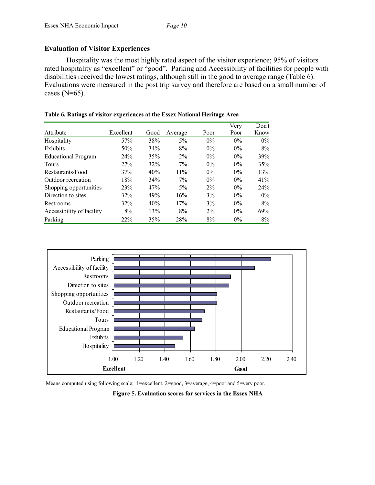## **Evaluation of Visitor Experiences**

Hospitality was the most highly rated aspect of the visitor experience; 95% of visitors rated hospitality as "excellent" or "good". Parking and Accessibility of facilities for people with disabilities received the lowest ratings, although still in the good to average range (Table 6). Evaluations were measured in the post trip survey and therefore are based on a small number of cases  $(N=65)$ .

|                            |           |      |         |       | Very  | Don't |
|----------------------------|-----------|------|---------|-------|-------|-------|
| Attribute                  | Excellent | Good | Average | Poor  | Poor  | Know  |
| Hospitality                | 57%       | 38%  | $5\%$   | $0\%$ | $0\%$ | $0\%$ |
| Exhibits                   | 50%       | 34%  | 8%      | $0\%$ | $0\%$ | $8\%$ |
| <b>Educational Program</b> | 24%       | 35%  | $2\%$   | $0\%$ | $0\%$ | 39%   |
| <b>Tours</b>               | 27%       | 32%  | $7\%$   | $0\%$ | $0\%$ | 35%   |
| Restaurants/Food           | 37%       | 40%  | 11%     | $0\%$ | $0\%$ | 13%   |
| Outdoor recreation         | 18%       | 34%  | $7\%$   | $0\%$ | $0\%$ | 41%   |
| Shopping opportunities     | 23%       | 47%  | $5\%$   | $2\%$ | $0\%$ | 24%   |
| Direction to sites         | 32%       | 49%  | 16%     | $3\%$ | $0\%$ | $0\%$ |
| Restrooms                  | 32%       | 40%  | 17%     | 3%    | $0\%$ | $8\%$ |
| Accessibility of facility  | 8%        | 13%  | 8%      | $2\%$ | $0\%$ | 69%   |
| Parking                    | 22%       | 35%  | 28%     | 8%    | $0\%$ | 8%    |

#### **Table 6. Ratings of visitor experiences at the Essex National Heritage Area**



Means computed using following scale: 1=excellent, 2=good, 3=average, 4=poor and 5=very poor.

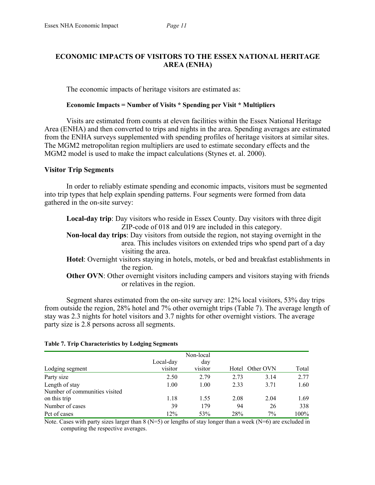## **ECONOMIC IMPACTS OF VISITORS TO THE ESSEX NATIONAL HERITAGE AREA (ENHA)**

The economic impacts of heritage visitors are estimated as:

#### **Economic Impacts = Number of Visits \* Spending per Visit \* Multipliers**

Visits are estimated from counts at eleven facilities within the Essex National Heritage Area (ENHA) and then converted to trips and nights in the area. Spending averages are estimated from the ENHA surveys supplemented with spending profiles of heritage visitors at similar sites. The MGM2 metropolitan region multipliers are used to estimate secondary effects and the MGM2 model is used to make the impact calculations (Stynes et. al. 2000).

## **Visitor Trip Segments**

In order to reliably estimate spending and economic impacts, visitors must be segmented into trip types that help explain spending patterns. Four segments were formed from data gathered in the on-site survey:

**Local-day trip**: Day visitors who reside in Essex County. Day visitors with three digit ZIP-code of 018 and 019 are included in this category. **Non-local day trips**: Day visitors from outside the region, not staying overnight in the area. This includes visitors on extended trips who spend part of a day visiting the area. **Hotel**: Overnight visitors staying in hotels, motels, or bed and breakfast establishments in the region. **Other OVN**: Other overnight visitors including campers and visitors staying with friends

or relatives in the region.

Segment shares estimated from the on-site survey are: 12% local visitors, 53% day trips from outside the region, 28% hotel and 7% other overnight trips (Table 7). The average length of stay was 2.3 nights for hotel visitors and 3.7 nights for other overnight vistiors. The average party size is 2.8 persons across all segments.

| <b>Table 7. Trip Characteristics by Lodging Segments</b> |  |
|----------------------------------------------------------|--|
|----------------------------------------------------------|--|

|                               |           | Non-local |                 |       |       |
|-------------------------------|-----------|-----------|-----------------|-------|-------|
|                               | Local-day | day       |                 |       |       |
| Lodging segment               | visitor   | visitor   | Hotel Other OVN |       | Total |
| Party size                    | 2.50      | 2.79      | 2.73            | 3.14  | 2.77  |
| Length of stay                | 1.00      | 1.00      | 2.33            | 3.71  | 1.60  |
| Number of communities visited |           |           |                 |       |       |
| on this trip                  | 1.18      | 1.55      | 2.08            | 2.04  | 1.69  |
| Number of cases               | 39        | 179       | 94              | 26    | 338   |
| Pct of cases                  | 12%       | 53%       | 28%             | $7\%$ | 100%  |

Note. Cases with party sizes larger than  $8(N=5)$  or lengths of stay longer than a week  $(N=6)$  are excluded in computing the respective averages.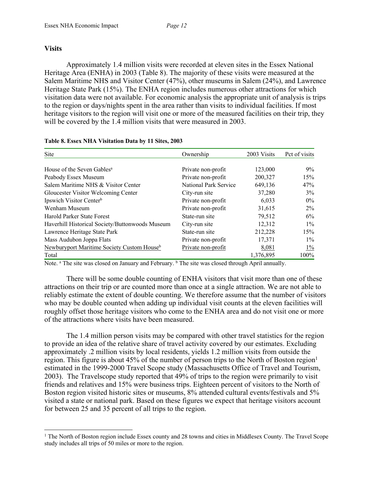#### **Visits**

Approximately 1.4 million visits were recorded at eleven sites in the Essex National Heritage Area (ENHA) in 2003 (Table 8). The majority of these visits were measured at the Salem Maritime NHS and Visitor Center (47%), other museums in Salem (24%), and Lawrence Heritage State Park (15%). The ENHA region includes numerous other attractions for which visitation data were not available. For economic analysis the appropriate unit of analysis is trips to the region or days/nights spent in the area rather than visits to individual facilities. If most heritage visitors to the region will visit one or more of the measured facilities on their trip, they will be covered by the 1.4 million visits that were measured in 2003.

| Site                                                   | Ownership             | 2003 Visits | Pct of visits |
|--------------------------------------------------------|-----------------------|-------------|---------------|
| House of the Seven Gables <sup>a</sup>                 | Private non-profit    | 123,000     | $9\%$         |
| Peabody Essex Museum                                   | Private non-profit    | 200,327     | 15%           |
| Salem Maritime NHS & Visitor Center                    | National Park Service | 649,136     | 47%           |
| Gloucester Visitor Welcoming Center                    | City-run site         | 37,280      | 3%            |
| Ipswich Visitor Center <sup>b</sup>                    | Private non-profit    | 6,033       | $0\%$         |
| Wenham Museum                                          | Private non-profit    | 31,615      | $2\%$         |
| Harold Parker State Forest                             | State-run site        | 79,512      | 6%            |
| Haverhill Historical Society/Buttonwoods Museum        | City-run site         | 12,312      | $1\%$         |
| Lawrence Heritage State Park                           | State-run site        | 212,228     | 15%           |
| Mass Audubon Joppa Flats                               | Private non-profit    | 17,371      | $1\%$         |
| Newburyport Maritime Society Custom House <sup>b</sup> | Private non-profit    | 8,081       | $1\%$         |
| Total                                                  |                       | 1,376,895   | 100%          |

#### **Table 8. Essex NHA Visitation Data by 11 Sites, 2003**

Note. <sup>a</sup> The site was closed on January and February. <sup>b</sup> The site was closed through April annually.

There will be some double counting of ENHA visitors that visit more than one of these attractions on their trip or are counted more than once at a single attraction. We are not able to reliably estimate the extent of double counting. We therefore assume that the number of visitors who may be double counted when adding up individual visit counts at the eleven facilities will roughly offset those heritage visitors who come to the ENHA area and do not visit one or more of the attractions where visits have been measured.

The 1.4 million person visits may be compared with other travel statistics for the region to provide an idea of the relative share of travel activity covered by our estimates. Excluding approximately .2 million visits by local residents, yields 1.2 million visits from outside the region. This figure is about 45% of the number of person trips to the North of Boston region<sup>1</sup> estimated in the 1999-2000 Travel Scope study (Massachusetts Office of Travel and Tourism, 2003). The Travelscope study reported that 49% of trips to the region were primarily to visit friends and relatives and 15% were business trips. Eighteen percent of visitors to the North of Boston region visited historic sites or museums, 8% attended cultural events/festivals and 5% visited a state or national park. Based on these figures we expect that heritage visitors account for between 25 and 35 percent of all trips to the region.

<sup>&</sup>lt;sup>1</sup> The North of Boston region include Essex county and 28 towns and cities in Middlesex County. The Travel Scope study includes all trips of 50 miles or more to the region.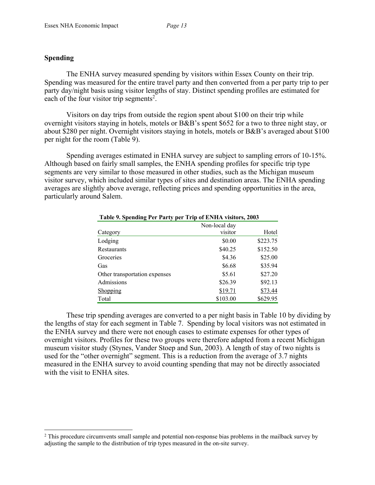## **Spending**

The ENHA survey measured spending by visitors within Essex County on their trip. Spending was measured for the entire travel party and then converted from a per party trip to per party day/night basis using visitor lengths of stay. Distinct spending profiles are estimated for each of the four visitor trip segments<sup>2</sup>.

Visitors on day trips from outside the region spent about \$100 on their trip while overnight visitors staying in hotels, motels or B&B's spent \$652 for a two to three night stay, or about \$280 per night. Overnight visitors staying in hotels, motels or B&B's averaged about \$100 per night for the room (Table 9).

Spending averages estimated in ENHA survey are subject to sampling errors of 10-15%. Although based on fairly small samples, the ENHA spending profiles for specific trip type segments are very similar to those measured in other studies, such as the Michigan museum visitor survey, which included similar types of sites and destination areas. The ENHA spending averages are slightly above average, reflecting prices and spending opportunities in the area, particularly around Salem.

| Table 9. Spending Per Party per Trip of ENHA visitors, 2003 |               |          |
|-------------------------------------------------------------|---------------|----------|
|                                                             | Non-local day |          |
| Category                                                    | visitor       | Hotel    |
| Lodging                                                     | \$0.00        | \$223.75 |
| Restaurants                                                 | \$40.25       | \$152.50 |
| Groceries                                                   | \$4.36        | \$25.00  |
| Gas                                                         | \$6.68        | \$35.94  |
| Other transportation expenses                               | \$5.61        | \$27.20  |
| Admissions                                                  | \$26.39       | \$92.13  |
| Shopping                                                    | \$19.71       | \$73.44  |
| Total                                                       | \$103.00      | \$629.95 |

These trip spending averages are converted to a per night basis in Table 10 by dividing by the lengths of stay for each segment in Table 7. Spending by local visitors was not estimated in the ENHA survey and there were not enough cases to estimate expenses for other types of overnight visitors. Profiles for these two groups were therefore adapted from a recent Michigan museum visitor study (Stynes, Vander Stoep and Sun, 2003). A length of stay of two nights is used for the "other overnight" segment. This is a reduction from the average of 3.7 nights measured in the ENHA survey to avoid counting spending that may not be directly associated with the visit to ENHA sites.

<sup>&</sup>lt;sup>2</sup> This procedure circumvents small sample and potential non-response bias problems in the mailback survey by adjusting the sample to the distribution of trip types measured in the on-site survey.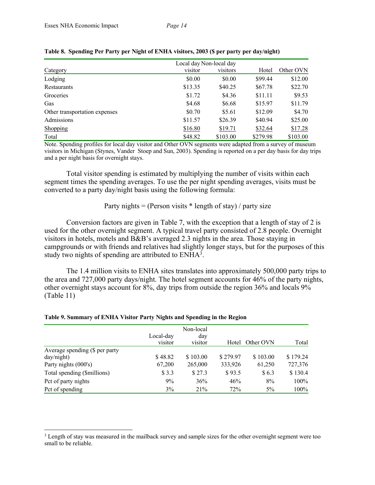|--|--|--|

|                               | Local day Non-local day |          |          |           |
|-------------------------------|-------------------------|----------|----------|-----------|
| Category                      | visitor                 | visitors | Hotel    | Other OVN |
| Lodging                       | \$0.00                  | \$0.00   | \$99.44  | \$12.00   |
| Restaurants                   | \$13.35                 | \$40.25  | \$67.78  | \$22.70   |
| Groceries                     | \$1.72                  | \$4.36   | \$11.11  | \$9.53    |
| Gas                           | \$4.68                  | \$6.68   | \$15.97  | \$11.79   |
| Other transportation expenses | \$0.70                  | \$5.61   | \$12.09  | \$4.70    |
| Admissions                    | \$11.57                 | \$26.39  | \$40.94  | \$25.00   |
| Shopping                      | \$16.80                 | \$19.71  | \$32.64  | \$17.28   |
| Total                         | \$48.82                 | \$103.00 | \$279.98 | \$103.00  |

|  |  |  | Table 8. Spending Per Party per Night of ENHA visitors, 2003 (\$ per party per day/night) |  |  |  |  |
|--|--|--|-------------------------------------------------------------------------------------------|--|--|--|--|
|--|--|--|-------------------------------------------------------------------------------------------|--|--|--|--|

Note. Spending profiles for local day visitor and Other OVN segments were adapted from a survey of museum visitors in Michigan (Stynes, Vander Stoep and Sun, 2003). Spending is reported on a per day basis for day trips and a per night basis for overnight stays.

Total visitor spending is estimated by multiplying the number of visits within each segment times the spending averages. To use the per night spending averages, visits must be converted to a party day/night basis using the following formula:

#### Party nights = (Person visits  $*$  length of stay) / party size

Conversion factors are given in Table 7, with the exception that a length of stay of 2 is used for the other overnight segment. A typical travel party consisted of 2.8 people. Overnight visitors in hotels, motels and B&B's averaged 2.3 nights in the area. Those staying in campgrounds or with friends and relatives had slightly longer stays, but for the purposes of this study two nights of spending are attributed to  $ENHA<sup>3</sup>$ .

The 1.4 million visits to ENHA sites translates into approximately 500,000 party trips to the area and 727,000 party days/night. The hotel segment accounts for 46% of the party nights, other overnight stays account for 8%, day trips from outside the region 36% and locals 9% (Table 11)

|                                |           | Non-local |          |           |          |
|--------------------------------|-----------|-----------|----------|-----------|----------|
|                                | Local-day | day       |          |           |          |
|                                | visitor   | visitor   | Hotel    | Other OVN | Total    |
| Average spending (\$ per party |           |           |          |           |          |
| day/night)                     | \$48.82   | \$103.00  | \$279.97 | \$103.00  | \$179.24 |
| Party nights (000's)           | 67,200    | 265,000   | 333,926  | 61,250    | 727,376  |
| Total spending (\$millions)    | \$ 3.3    | \$27.3    | \$93.5   | \$6.3     | \$130.4  |
| Pct of party nights            | 9%        | 36%       | 46%      | 8%        | 100%     |
| Pct of spending                | 3%        | 21%       | 72%      | $5\%$     | 100%     |

#### **Table 9. Summary of ENHA Visitor Party Nights and Spending in the Region**

 <sup>3</sup> Length of stay was measured in the mailback survey and sample sizes for the other overnight segment were too small to be reliable.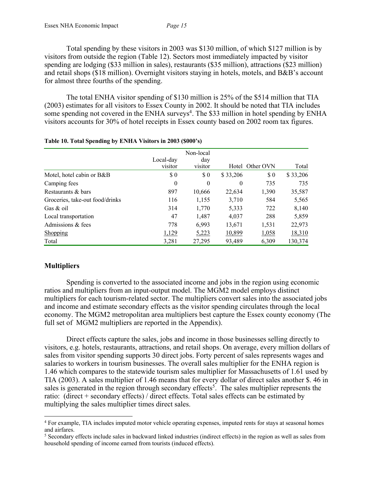Total spending by these visitors in 2003 was \$130 million, of which \$127 million is by visitors from outside the region (Table 12). Sectors most immediately impacted by visitor spending are lodging (\$33 million in sales), restaurants (\$35 million), attractions (\$23 million) and retail shops (\$18 million). Overnight visitors staying in hotels, motels, and B&B's account for almost three fourths of the spending.

The total ENHA visitor spending of \$130 million is 25% of the \$514 million that TIA (2003) estimates for all visitors to Essex County in 2002. It should be noted that TIA includes some spending not covered in the ENHA surveys<sup>4</sup>. The \$33 million in hotel spending by ENHA visitors accounts for 30% of hotel receipts in Essex county based on 2002 room tax figures.

|                                 |                      | Non-local      |          |                 |          |
|---------------------------------|----------------------|----------------|----------|-----------------|----------|
|                                 | Local-day<br>visitor | day<br>visitor |          | Hotel Other OVN | Total    |
|                                 |                      |                |          |                 |          |
| Motel, hotel cabin or B&B       | \$0                  | \$0            | \$33,206 | \$0             | \$33,206 |
| Camping fees                    | $\theta$             | 0              | $\theta$ | 735             | 735      |
| Restaurants & bars              | 897                  | 10,666         | 22,634   | 1,390           | 35,587   |
| Groceries, take-out food/drinks | 116                  | 1,155          | 3,710    | 584             | 5,565    |
| Gas $&$ oil                     | 314                  | 1,770          | 5,333    | 722             | 8,140    |
| Local transportation            | 47                   | 1,487          | 4,037    | 288             | 5,859    |
| Admissions & fees               | 778                  | 6,993          | 13,671   | 1,531           | 22,973   |
| Shopping                        | 1,129                | 5,223          | 10,899   | 1,058           | 18,310   |
| Total                           | 3,281                | 27,295         | 93,489   | 6,309           | 130,374  |

| Table 10. Total Spending by ENHA Visitors in 2003 (\$000's) |  |  |  |  |  |
|-------------------------------------------------------------|--|--|--|--|--|
|-------------------------------------------------------------|--|--|--|--|--|

## **Multipliers**

Spending is converted to the associated income and jobs in the region using economic ratios and multipliers from an input-output model. The MGM2 model employs distinct multipliers for each tourism-related sector. The multipliers convert sales into the associated jobs and income and estimate secondary effects as the visitor spending circulates through the local economy. The MGM2 metropolitan area multipliers best capture the Essex county economy (The full set of MGM2 multipliers are reported in the Appendix).

Direct effects capture the sales, jobs and income in those businesses selling directly to visitors, e.g. hotels, restaurants, attractions, and retail shops. On average, every million dollars of sales from visitor spending supports 30 direct jobs. Forty percent of sales represents wages and salaries to workers in tourism businesses. The overall sales multiplier for the ENHA region is 1.46 which compares to the statewide tourism sales multiplier for Massachusetts of 1.61 used by TIA (2003). A sales multiplier of 1.46 means that for every dollar of direct sales another \$. 46 in sales is generated in the region through secondary effects<sup>5</sup>. The sales multiplier represents the ratio: (direct + secondary effects) / direct effects. Total sales effects can be estimated by multiplying the sales multiplier times direct sales.

 <sup>4</sup> For example, TIA includes imputed motor vehicle operating expenses, imputed rents for stays at seasonal homes and airfares.

<sup>5</sup> Secondary effects include sales in backward linked industries (indirect effects) in the region as well as sales from household spending of income earned from tourists (induced effects).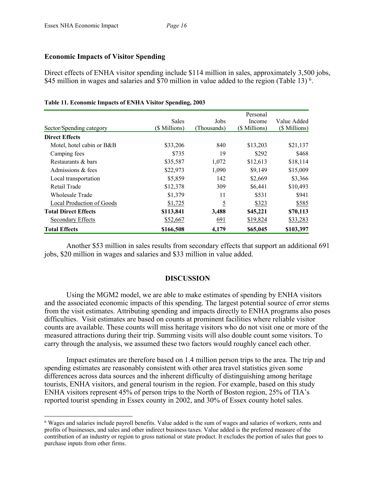## **Economic Impacts of Visitor Spending**

Direct effects of ENHA visitor spending include \$114 million in sales, approximately 3,500 jobs, \$45 million in wages and salaries and \$70 million in value added to the region (Table 13)<sup>6</sup>.

|                             |               |                | Personal      |               |
|-----------------------------|---------------|----------------|---------------|---------------|
|                             | <b>Sales</b>  | Jobs           | Income        | Value Added   |
| Sector/Spending category    | (\$ Millions) | (Thousands)    | (\$ Millions) | (\$ Millions) |
| <b>Direct Effects</b>       |               |                |               |               |
| Motel, hotel cabin or B&B   | \$33,206      | 840            | \$13,203      | \$21,137      |
| Camping fees                | \$735         | 19             | \$292         | \$468         |
| Restaurants & bars          | \$35,587      | 1,072          | \$12,613      | \$18,114      |
| Admissions & fees           | \$22,973      | 1,090          | \$9,149       | \$15,009      |
| Local transportation        | \$5,859       | 142            | \$2,669       | \$3,366       |
| Retail Trade                | \$12,378      | 309            | \$6,441       | \$10,493      |
| Wholesale Trade             | \$1,379       | 11             | \$531         | \$941         |
| Local Production of Goods   | \$1,725       | $\overline{5}$ | \$323         | \$585         |
| <b>Total Direct Effects</b> | \$113,841     | 3,488          | \$45,221      | \$70,113      |
| Secondary Effects           | \$52,667      | 691            | \$19,824      | \$33,283      |
| <b>Total Effects</b>        | \$166,508     | 4,179          | \$65,045      | \$103,397     |

#### **Table 11. Economic Impacts of ENHA Visitor Spending, 2003**

Another \$53 million in sales results from secondary effects that support an additional 691 jobs, \$20 million in wages and salaries and \$33 million in value added.

## **DISCUSSION**

Using the MGM2 model, we are able to make estimates of spending by ENHA visitors and the associated economic impacts of this spending. The largest potential source of error stems from the visit estimates. Attributing spending and impacts directly to ENHA programs also poses difficulties. Visit estimates are based on counts at prominent facilities where reliable visitor counts are available. These counts will miss heritage visitors who do not visit one or more of the measured attractions during their trip. Summing visits will also double count some visitors. To carry through the analysis, we assumed these two factors would roughly cancel each other.

Impact estimates are therefore based on 1.4 million person trips to the area. The trip and spending estimates are reasonably consistent with other area travel statistics given some differences across data sources and the inherent difficulty of distinguishing among heritage tourists, ENHA visitors, and general tourism in the region. For example, based on this study ENHA visitors represent 45% of person trips to the North of Boston region, 25% of TIA's reported tourist spending in Essex county in 2002, and 30% of Essex county hotel sales.

 <sup>6</sup> Wages and salaries include payroll benefits. Value added is the sum of wages and salaries of workers, rents and profits of businesses, and sales and other indirect business taxes. Value added is the preferred measure of the contribution of an industry or region to gross national or state product. It excludes the portion of sales that goes to purchase inputs from other firms.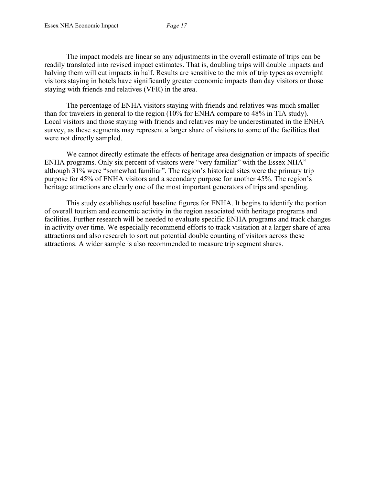The impact models are linear so any adjustments in the overall estimate of trips can be readily translated into revised impact estimates. That is, doubling trips will double impacts and halving them will cut impacts in half. Results are sensitive to the mix of trip types as overnight visitors staying in hotels have significantly greater economic impacts than day visitors or those staying with friends and relatives (VFR) in the area.

The percentage of ENHA visitors staying with friends and relatives was much smaller than for travelers in general to the region (10% for ENHA compare to 48% in TIA study). Local visitors and those staying with friends and relatives may be underestimated in the ENHA survey, as these segments may represent a larger share of visitors to some of the facilities that were not directly sampled.

We cannot directly estimate the effects of heritage area designation or impacts of specific ENHA programs. Only six percent of visitors were "very familiar" with the Essex NHA" although 31% were "somewhat familiar". The region's historical sites were the primary trip purpose for 45% of ENHA visitors and a secondary purpose for another 45%. The region's heritage attractions are clearly one of the most important generators of trips and spending.

This study establishes useful baseline figures for ENHA. It begins to identify the portion of overall tourism and economic activity in the region associated with heritage programs and facilities. Further research will be needed to evaluate specific ENHA programs and track changes in activity over time. We especially recommend efforts to track visitation at a larger share of area attractions and also research to sort out potential double counting of visitors across these attractions. A wider sample is also recommended to measure trip segment shares.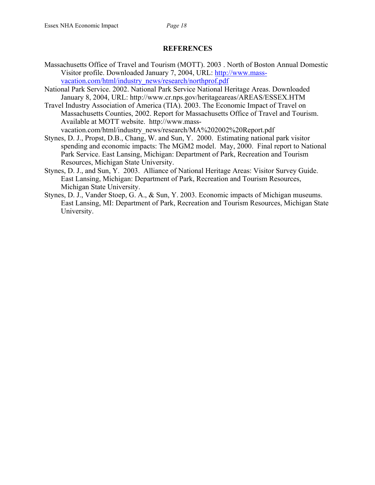#### **REFERENCES**

- Massachusetts Office of Travel and Tourism (MOTT). 2003 . North of Boston Annual Domestic Visitor profile. Downloaded January 7, 2004, URL: http://www.massvacation.com/html/industry\_news/research/northprof.pdf
- National Park Service. 2002. National Park Service National Heritage Areas. Downloaded January 8, 2004, URL: http://www.cr.nps.gov/heritageareas/AREAS/ESSEX.HTM
- Travel Industry Association of America (TIA). 2003. The Economic Impact of Travel on Massachusetts Counties, 2002. Report for Massachusetts Office of Travel and Tourism. Available at MOTT website. http://www.mass-

vacation.com/html/industry\_news/research/MA%202002%20Report.pdf

- Stynes, D. J., Propst, D.B., Chang, W. and Sun, Y. 2000. Estimating national park visitor spending and economic impacts: The MGM2 model. May, 2000. Final report to National Park Service. East Lansing, Michigan: Department of Park, Recreation and Tourism Resources, Michigan State University.
- Stynes, D. J., and Sun, Y. 2003. Alliance of National Heritage Areas: Visitor Survey Guide. East Lansing, Michigan: Department of Park, Recreation and Tourism Resources, Michigan State University.
- Stynes, D. J., Vander Stoep, G. A., & Sun, Y. 2003. Economic impacts of Michigan museums. East Lansing, MI: Department of Park, Recreation and Tourism Resources, Michigan State University.